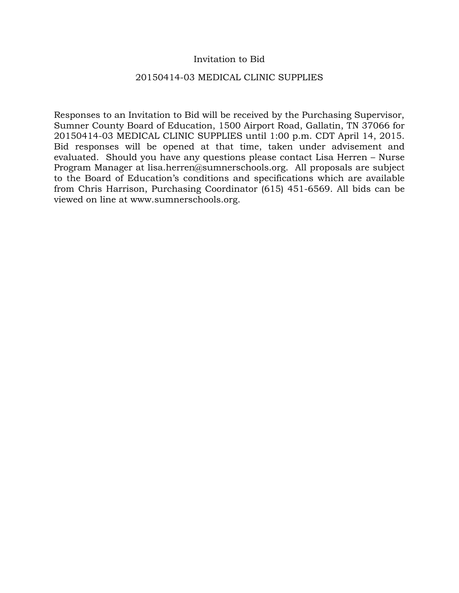## Invitation to Bid

### 20150414-03 MEDICAL CLINIC SUPPLIES

Responses to an Invitation to Bid will be received by the Purchasing Supervisor, Sumner County Board of Education, 1500 Airport Road, Gallatin, TN 37066 for 20150414-03 MEDICAL CLINIC SUPPLIES until 1:00 p.m. CDT April 14, 2015. Bid responses will be opened at that time, taken under advisement and evaluated. Should you have any questions please contact Lisa Herren – Nurse Program Manager at lisa.herren@sumnerschools.org. All proposals are subject to the Board of Education's conditions and specifications which are available from Chris Harrison, Purchasing Coordinator (615) 451-6569. All bids can be viewed on line at www.sumnerschools.org.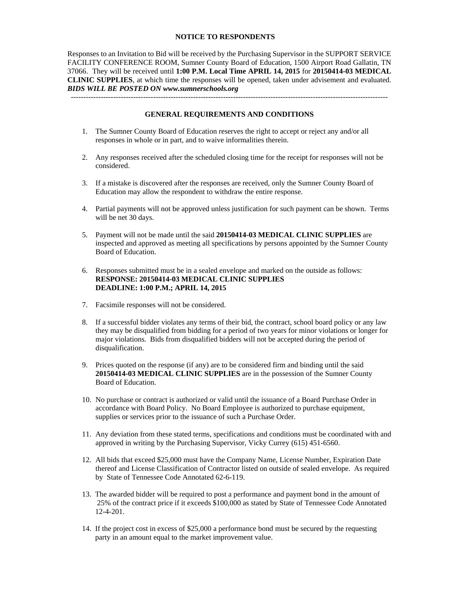#### **NOTICE TO RESPONDENTS**

Responses to an Invitation to Bid will be received by the Purchasing Supervisor in the SUPPORT SERVICE FACILITY CONFERENCE ROOM, Sumner County Board of Education, 1500 Airport Road Gallatin, TN 37066. They will be received until **1:00 P.M. Local Time APRIL 14, 2015** for **20150414-03 MEDICAL CLINIC SUPPLIES**, at which time the responses will be opened, taken under advisement and evaluated. *BIDS WILL BE POSTED ON www.sumnerschools.org* 

**GENERAL REQUIREMENTS AND CONDITIONS** 

-------------------------------------------------------------------------------------------------------------------------------

- 1. The Sumner County Board of Education reserves the right to accept or reject any and/or all responses in whole or in part, and to waive informalities therein.
- 2. Any responses received after the scheduled closing time for the receipt for responses will not be considered.
- 3. If a mistake is discovered after the responses are received, only the Sumner County Board of Education may allow the respondent to withdraw the entire response.
- 4. Partial payments will not be approved unless justification for such payment can be shown. Terms will be net 30 days.
- 5. Payment will not be made until the said **20150414-03 MEDICAL CLINIC SUPPLIES** are inspected and approved as meeting all specifications by persons appointed by the Sumner County Board of Education.
- 6. Responses submitted must be in a sealed envelope and marked on the outside as follows: **RESPONSE: 20150414-03 MEDICAL CLINIC SUPPLIES DEADLINE: 1:00 P.M.; APRIL 14, 2015**
- 7. Facsimile responses will not be considered.
- 8. If a successful bidder violates any terms of their bid, the contract, school board policy or any law they may be disqualified from bidding for a period of two years for minor violations or longer for major violations. Bids from disqualified bidders will not be accepted during the period of disqualification.
- 9. Prices quoted on the response (if any) are to be considered firm and binding until the said **20150414-03 MEDICAL CLINIC SUPPLIES** are in the possession of the Sumner County Board of Education.
- 10. No purchase or contract is authorized or valid until the issuance of a Board Purchase Order in accordance with Board Policy. No Board Employee is authorized to purchase equipment, supplies or services prior to the issuance of such a Purchase Order.
- 11. Any deviation from these stated terms, specifications and conditions must be coordinated with and approved in writing by the Purchasing Supervisor, Vicky Currey (615) 451-6560.
- 12. All bids that exceed \$25,000 must have the Company Name, License Number, Expiration Date thereof and License Classification of Contractor listed on outside of sealed envelope. As required by State of Tennessee Code Annotated 62-6-119.
- 13. The awarded bidder will be required to post a performance and payment bond in the amount of 25% of the contract price if it exceeds \$100,000 as stated by State of Tennessee Code Annotated 12-4-201.
- 14. If the project cost in excess of \$25,000 a performance bond must be secured by the requesting party in an amount equal to the market improvement value.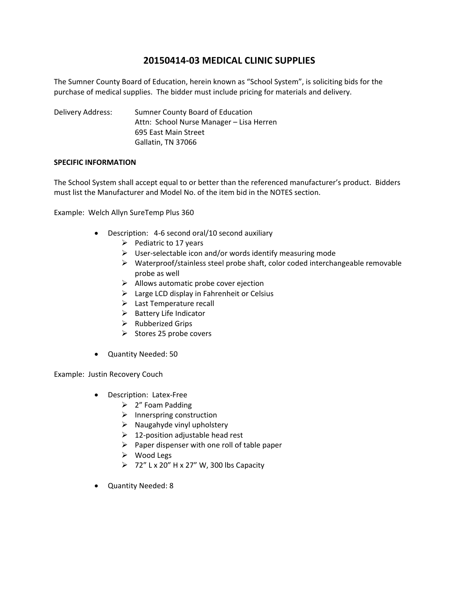# **20150414‐03 MEDICAL CLINIC SUPPLIES**

The Sumner County Board of Education, herein known as "School System", is soliciting bids for the purchase of medical supplies. The bidder must include pricing for materials and delivery.

Delivery Address: Sumner County Board of Education Attn: School Nurse Manager – Lisa Herren 695 East Main Street Gallatin, TN 37066

### **SPECIFIC INFORMATION**

The School System shall accept equal to or better than the referenced manufacturer's product. Bidders must list the Manufacturer and Model No. of the item bid in the NOTES section.

Example: Welch Allyn SureTemp Plus 360

- Description: 4-6 second oral/10 second auxiliary
	- $\triangleright$  Pediatric to 17 years
	- $\triangleright$  User-selectable icon and/or words identify measuring mode
	- $\triangleright$  Waterproof/stainless steel probe shaft, color coded interchangeable removable probe as well
	- $\triangleright$  Allows automatic probe cover ejection
	- $\triangleright$  Large LCD display in Fahrenheit or Celsius
	- $\triangleright$  Last Temperature recall
	- $\triangleright$  Battery Life Indicator
	- $\triangleright$  Rubberized Grips
	- $\triangleright$  Stores 25 probe covers
- Quantity Needed: 50

Example: Justin Recovery Couch

- Description: Latex-Free
	- $\geq$  2" Foam Padding
	- $\triangleright$  Innerspring construction
	- $\triangleright$  Naugahyde vinyl upholstery
	- $\geq 12$ -position adjustable head rest
	- $\triangleright$  Paper dispenser with one roll of table paper
	- $\triangleright$  Wood Legs
	- $\triangleright$  72" L x 20" H x 27" W, 300 lbs Capacity
- Quantity Needed: 8